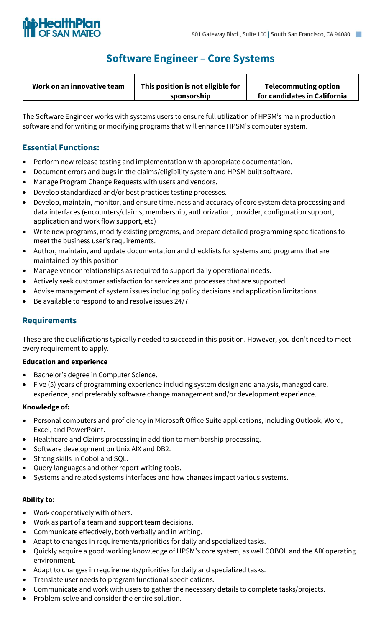

## **Software Engineer – Core Systems**

| This position is not eligible for<br>Work on an innovative team<br>sponsorship | <b>Telecommuting option</b><br>for candidates in California |
|--------------------------------------------------------------------------------|-------------------------------------------------------------|
|--------------------------------------------------------------------------------|-------------------------------------------------------------|

The Software Engineer works with systems users to ensure full utilization of HPSM's main production software and for writing or modifying programs that will enhance HPSM's computer system.

## **Essential Functions:**

- Perform new release testing and implementation with appropriate documentation.
- Document errors and bugs in the claims/eligibility system and HPSM built software.
- Manage Program Change Requests with users and vendors.
- Develop standardized and/or best practices testing processes.
- Develop, maintain, monitor, and ensure timeliness and accuracy of core system data processing and data interfaces (encounters/claims, membership, authorization, provider, configuration support, application and work flow support, etc)
- Write new programs, modify existing programs, and prepare detailed programming specifications to meet the business user's requirements.
- Author, maintain, and update documentation and checklists for systems and programs that are maintained by this position
- Manage vendor relationships as required to support daily operational needs.
- Actively seek customer satisfaction for services and processes that are supported.
- Advise management of system issues including policy decisions and application limitations.
- Be available to respond to and resolve issues 24/7.

## **Requirements**

These are the qualifications typically needed to succeed in this position. However, you don't need to meet every requirement to apply.

### **Education and experience**

- Bachelor's degree in Computer Science.
- Five (5) years of programming experience including system design and analysis, managed care. experience, and preferably software change management and/or development experience.

### **Knowledge of:**

- Personal computers and proficiency in Microsoft Office Suite applications, including Outlook, Word, Excel, and PowerPoint.
- Healthcare and Claims processing in addition to membership processing.
- Software development on Unix AIX and DB2.
- Strong skills in Cobol and SQL.
- Query languages and other report writing tools.
- Systems and related systems interfaces and how changes impact various systems.

### **Ability to:**

- Work cooperatively with others.
- Work as part of a team and support team decisions.
- Communicate effectively, both verbally and in writing.
- Adapt to changes in requirements/priorities for daily and specialized tasks.
- Quickly acquire a good working knowledge of HPSM's core system, as well COBOL and the AIX operating environment.
- Adapt to changes in requirements/priorities for daily and specialized tasks.
- Translate user needs to program functional specifications.
- Communicate and work with users to gather the necessary details to complete tasks/projects.
- Problem-solve and consider the entire solution.